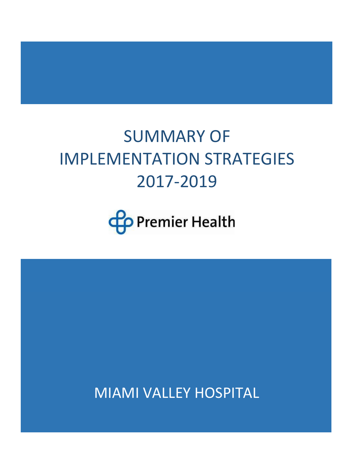# SUMMARY OF IMPLEMENTATION STRATEGIES 2017-2019



MIAMI VALLEY HOSPITAL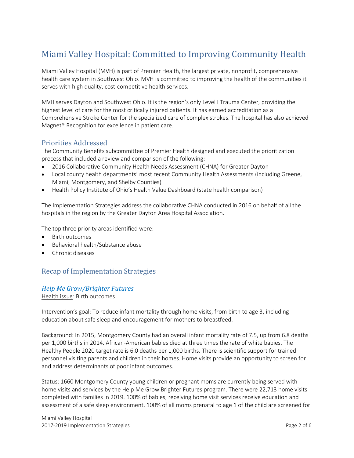# Miami Valley Hospital: Committed to Improving Community Health

Miami Valley Hospital (MVH) is part of Premier Health, the largest private, nonprofit, comprehensive health care system in Southwest Ohio. MVH is committed to improving the health of the communities it serves with high quality, cost-competitive health services.

MVH serves Dayton and Southwest Ohio. It is the region's only Level I Trauma Center, providing the highest level of care for the most critically injured patients. It has earned accreditation as a Comprehensive Stroke Center for the specialized care of complex strokes. The hospital has also achieved Magnet® Recognition for excellence in patient care.

### Priorities Addressed

The Community Benefits subcommittee of Premier Health designed and executed the prioritization process that included a review and comparison of the following:

- 2016 Collaborative Community Health Needs Assessment (CHNA) for Greater Dayton
- Local county health departments' most recent Community Health Assessments (including Greene, Miami, Montgomery, and Shelby Counties)
- Health Policy Institute of Ohio's Health Value Dashboard (state health comparison)

The Implementation Strategies address the collaborative CHNA conducted in 2016 on behalf of all the hospitals in the region by the Greater Dayton Area Hospital Association.

The top three priority areas identified were:

- Birth outcomes
- Behavioral health/Substance abuse
- Chronic diseases

# Recap of Implementation Strategies

#### *Help Me Grow/Brighter Futures*

Health issue: Birth outcomes

Intervention's goal: To reduce infant mortality through home visits, from birth to age 3, including education about safe sleep and encouragement for mothers to breastfeed.

Background: In 2015, Montgomery County had an overall infant mortality rate of 7.5, up from 6.8 deaths per 1,000 births in 2014. African-American babies died at three times the rate of white babies. The Healthy People 2020 target rate is 6.0 deaths per 1,000 births. There is scientific support for trained personnel visiting parents and children in their homes. Home visits provide an opportunity to screen for and address determinants of poor infant outcomes.

Status: 1660 Montgomery County young children or pregnant moms are currently being served with home visits and services by the Help Me Grow Brighter Futures program. There were 22,713 home visits completed with families in 2019. 100% of babies, receiving home visit services receive education and assessment of a safe sleep environment. 100% of all moms prenatal to age 1 of the child are screened for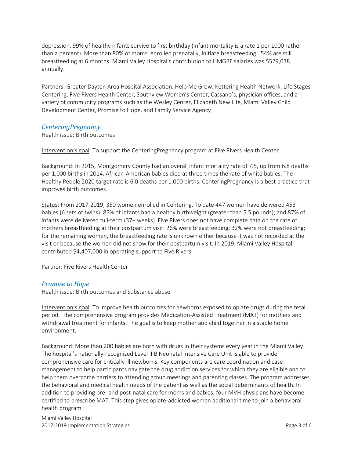depression. 99% of healthy infants survive to first birthday (infant mortality is a rate 1 per 1000 rather than a percent). More than 80% of moms, enrolled prenatally, initiate breastfeeding. 54% are still breastfeeding at 6 months. Miami Valley Hospital's contribution to HMGBF salaries was \$529,038 annually.

Partners: Greater Dayton Area Hospital Association, Help Me Grow, Kettering Health Network, Life Stages Centering, Five Rivers Health Center, Southview Women's Center, Cassano's, physician offices, and a variety of community programs such as the Wesley Center, Elizabeth New Life, Miami Valley Child Development Center, Promise to Hope, and Family Service Agency

#### *CenteringPregnancy*

Health issue: Birth outcomes

Intervention's goal: To support the CenteringPregnancy program at Five Rivers Health Center.

Background: In 2015, Montgomery County had an overall infant mortality rate of 7.5, up from 6.8 deaths per 1,000 births in 2014. African-American babies died at three times the rate of white babies. The Healthy People 2020 target rate is 6.0 deaths per 1,000 births. CenteringPregnancy is a best practice that improves birth outcomes.

Status: From 2017-2019, 350 women enrolled in Centering. To date 447 women have delivered 453 babies (6 sets of twins). 85% of infants had a healthy birthweight (greater than 5.5 pounds); and 87% of infants were delivered full-term (37+ weeks). Five Rivers does not have complete data on the rate of mothers breastfeeding at their postpartum visit: 26% were breastfeeding; 32% were not breastfeeding; for the remaining women, the breastfeeding rate is unknown either because it was not recorded at the visit or because the women did not show for their postpartum visit. In 2019, Miami Valley Hospital contributed \$4,407,000 in operating support to Five Rivers.

Partner: Five Rivers Health Center

#### *Promise to Hope*

Health issue: Birth outcomes and Substance abuse

Intervention's goal: To improve health outcomes for newborns exposed to opiate drugs during the fetal period. The comprehensive program provides Medication-Assisted Treatment (MAT) for mothers and withdrawal treatment for infants. The goal is to keep mother and child together in a stable home environment.

Background: More than 200 babies are born with drugs in their systems every year in the Miami Valley. The hospital's nationally-recognized Level IIIB Neonatal Intensive Care Unit is able to provide comprehensive care for critically ill newborns. Key components are care coordination and case management to help participants navigate the drug addiction services for which they are eligible and to help them overcome barriers to attending group meetings and parenting classes. The program addresses the behavioral and medical health needs of the patient as well as the social determinants of health. In addition to providing pre- and post-natal care for moms and babies, four MVH physicians have become certified to prescribe MAT. This step gives opiate-addicted women additional time to join a behavioral health program.

Miami Valley Hospital 2017-2019 Implementation Strategies **Page 3 of 6**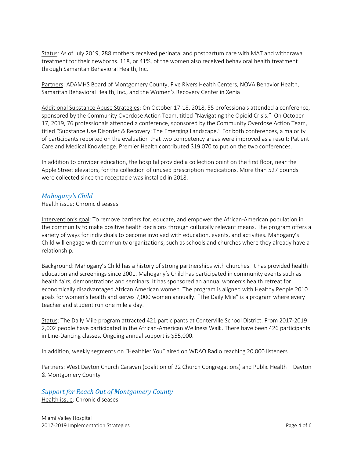Status: As of July 2019, 288 mothers received perinatal and postpartum care with MAT and withdrawal treatment for their newborns. 118, or 41%, of the women also received behavioral health treatment through Samaritan Behavioral Health, Inc.

Partners: ADAMHS Board of Montgomery County, Five Rivers Health Centers, NOVA Behavior Health, Samaritan Behavioral Health, Inc., and the Women's Recovery Center in Xenia

Additional Substance Abuse Strategies: On October 17-18, 2018, 55 professionals attended a conference, sponsored by the Community Overdose Action Team, titled "Navigating the Opioid Crisis." On October 17, 2019, 76 professionals attended a conference, sponsored by the Community Overdose Action Team, titled "Substance Use Disorder & Recovery: The Emerging Landscape." For both conferences, a majority of participants reported on the evaluation that two competency areas were improved as a result: Patient Care and Medical Knowledge. Premier Health contributed \$19,070 to put on the two conferences.

In addition to provider education, the hospital provided a collection point on the first floor, near the Apple Street elevators, for the collection of unused prescription medications. More than 527 pounds were collected since the receptacle was installed in 2018.

#### *Mahogany's Child*

Health issue: Chronic diseases

Intervention's goal: To remove barriers for, educate, and empower the African-American population in the community to make positive health decisions through culturally relevant means. The program offers a variety of ways for individuals to become involved with education, events, and activities. Mahogany's Child will engage with community organizations, such as schools and churches where they already have a relationship.

Background: Mahogany's Child has a history of strong partnerships with churches. It has provided health education and screenings since 2001. Mahogany's Child has participated in community events such as health fairs, demonstrations and seminars. It has sponsored an annual women's health retreat for economically disadvantaged African American women. The program is aligned with Healthy People 2010 goals for women's health and serves 7,000 women annually. "The Daily Mile" is a program where every teacher and student run one mile a day.

Status: The Daily Mile program attracted 421 participants at Centerville School District. From 2017-2019 2,002 people have participated in the African-American Wellness Walk. There have been 426 participants in Line-Dancing classes. Ongoing annual support is \$55,000.

In addition, weekly segments on "Healthier You" aired on WDAO Radio reaching 20,000 listeners.

Partners: West Dayton Church Caravan (coalition of 22 Church Congregations) and Public Health – Dayton & Montgomery County

# *Support for Reach Out of Montgomery County*

Health issue: Chronic diseases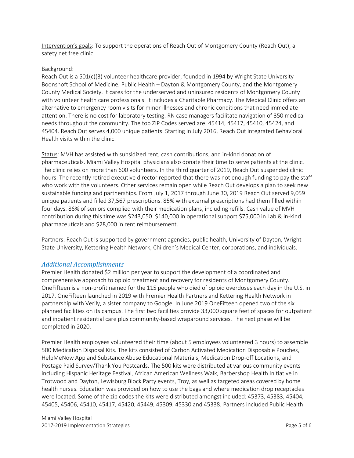Intervention's goals: To support the operations of Reach Out of Montgomery County (Reach Out), a safety net free clinic.

#### Background:

Reach Out is a 501(c)(3) volunteer healthcare provider, founded in 1994 by Wright State University Boonshoft School of Medicine, Public Health – Dayton & Montgomery County, and the Montgomery County Medical Society. It cares for the underserved and uninsured residents of Montgomery County with volunteer health care professionals. It includes a Charitable Pharmacy. The Medical Clinic offers an alternative to emergency room visits for minor illnesses and chronic conditions that need immediate attention. There is no cost for laboratory testing. RN case managers facilitate navigation of 350 medical needs throughout the community. The top ZIP Codes served are: 45414, 45417, 45410, 45424, and 45404. Reach Out serves 4,000 unique patients. Starting in July 2016, Reach Out integrated Behavioral Health visits within the clinic.

Status: MVH has assisted with subsidized rent, cash contributions, and in-kind donation of pharmaceuticals. Miami Valley Hospital physicians also donate their time to serve patients at the clinic. The clinic relies on more than 600 volunteers. In the third quarter of 2019, Reach Out suspended clinic hours. The recently retired executive director reported that there was not enough funding to pay the staff who work with the volunteers. Other services remain open while Reach Out develops a plan to seek new sustainable funding and partnerships. From July 1, 2017 through June 30, 2019 Reach Out served 9,059 unique patients and filled 37,567 prescriptions. 85% with external prescriptions had them filled within four days. 86% of seniors complied with their medication plans, including refills. Cash value of MVH contribution during this time was \$243,050. \$140,000 in operational support \$75,000 in Lab & in-kind pharmaceuticals and \$28,000 in rent reimbursement.

Partners: Reach Out is supported by government agencies, public health, University of Dayton, Wright State University, Kettering Health Network, Children's Medical Center, corporations, and individuals.

#### *Additional Accomplishments*

Premier Health donated \$2 million per year to support the development of a coordinated and comprehensive approach to opioid treatment and recovery for residents of Montgomery County. OneFifteen is a non-profit named for the 115 people who died of opioid overdoses each day in the U.S. in 2017. OneFifteen launched in 2019 with Premier Health Partners and Kettering Health Network in partnership with Verily, a sister company to Google. In June 2019 OneFiftee[n opened](https://www.prnewswire.com/news-releases/onefifteen-opens-the-first-of-its-state-of-the-art-facilities-for-the-treatment-of-opioid-use-disorder-in-dayton-ohio-300867527.html) two of the six planned facilities on its campus. The first two facilities provide 33,000 square feet of spaces for outpatient and inpatient residential care plus community-based wraparound services. The next phase will be completed in 2020.

Premier Health employees volunteered their time (about 5 employees volunteered 3 hours) to assemble 500 Medication Disposal Kits. The kits consisted of Carbon Activated Medication Disposable Pouches, HelpMeNow App and Substance Abuse Educational Materials, Medication Drop-off Locations, and Postage Paid Survey/Thank You Postcards. The 500 kits were distributed at various community events including Hispanic Heritage Festival, African American Wellness Walk, Barbershop Health Initiative in Trotwood and Dayton, Lewisburg Block Party events, Troy, as well as targeted areas covered by home health nurses. Education was provided on how to use the bags and where medication drop receptacles were located. Some of the zip codes the kits were distributed amongst included: 45373, 45383, 45404, 45405, 45406, 45410, 45417, 45420, 45449, 45309, 45330 and 45338. Partners included Public Health